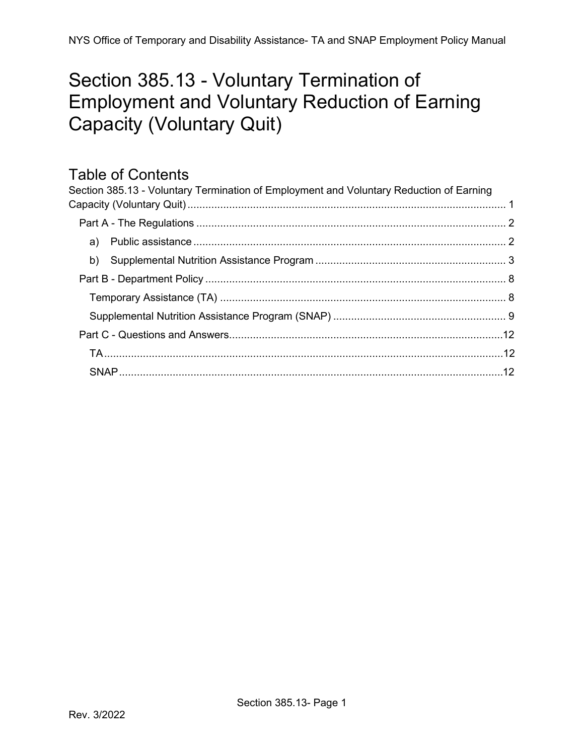# <span id="page-0-0"></span>Section 385.13 - Voluntary Termination of Employment and Voluntary Reduction of Earning Capacity (Voluntary Quit)

## Table of Contents

| Section 385.13 - Voluntary Termination of Employment and Voluntary Reduction of Earning |  |
|-----------------------------------------------------------------------------------------|--|
|                                                                                         |  |
|                                                                                         |  |
|                                                                                         |  |
|                                                                                         |  |
|                                                                                         |  |
|                                                                                         |  |
|                                                                                         |  |
|                                                                                         |  |
|                                                                                         |  |
|                                                                                         |  |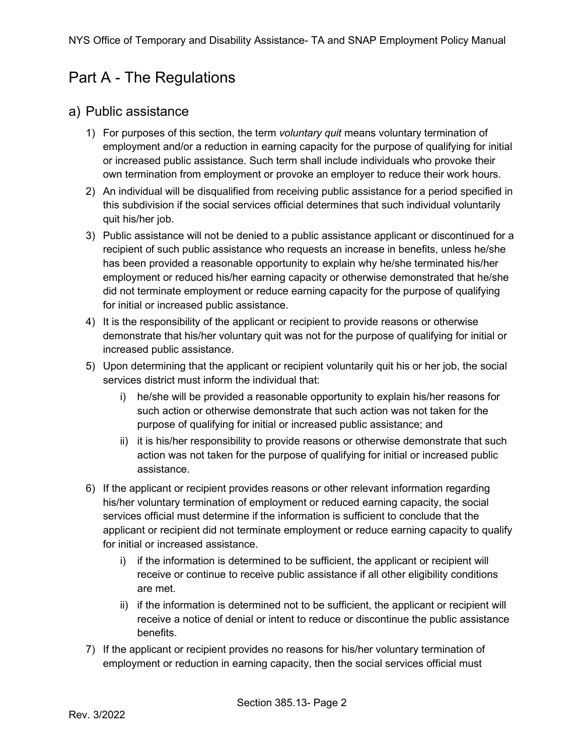## <span id="page-1-0"></span>Part A - The Regulations

### <span id="page-1-1"></span>a) Public assistance

- 1) For purposes of this section, the term *voluntary quit* means voluntary termination of employment and/or a reduction in earning capacity for the purpose of qualifying for initial or increased public assistance. Such term shall include individuals who provoke their own termination from employment or provoke an employer to reduce their work hours.
- 2) An individual will be disqualified from receiving public assistance for a period specified in this subdivision if the social services official determines that such individual voluntarily quit his/her job.
- 3) Public assistance will not be denied to a public assistance applicant or discontinued for a recipient of such public assistance who requests an increase in benefits, unless he/she has been provided a reasonable opportunity to explain why he/she terminated his/her employment or reduced his/her earning capacity or otherwise demonstrated that he/she did not terminate employment or reduce earning capacity for the purpose of qualifying for initial or increased public assistance.
- 4) It is the responsibility of the applicant or recipient to provide reasons or otherwise demonstrate that his/her voluntary quit was not for the purpose of qualifying for initial or increased public assistance.
- 5) Upon determining that the applicant or recipient voluntarily quit his or her job, the social services district must inform the individual that:
	- i) he/she will be provided a reasonable opportunity to explain his/her reasons for such action or otherwise demonstrate that such action was not taken for the purpose of qualifying for initial or increased public assistance; and
	- ii) it is his/her responsibility to provide reasons or otherwise demonstrate that such action was not taken for the purpose of qualifying for initial or increased public assistance.
- 6) If the applicant or recipient provides reasons or other relevant information regarding his/her voluntary termination of employment or reduced earning capacity, the social services official must determine if the information is sufficient to conclude that the applicant or recipient did not terminate employment or reduce earning capacity to qualify for initial or increased assistance.
	- i) if the information is determined to be sufficient, the applicant or recipient will receive or continue to receive public assistance if all other eligibility conditions are met.
	- ii) if the information is determined not to be sufficient, the applicant or recipient will receive a notice of denial or intent to reduce or discontinue the public assistance benefits.
- 7) If the applicant or recipient provides no reasons for his/her voluntary termination of employment or reduction in earning capacity, then the social services official must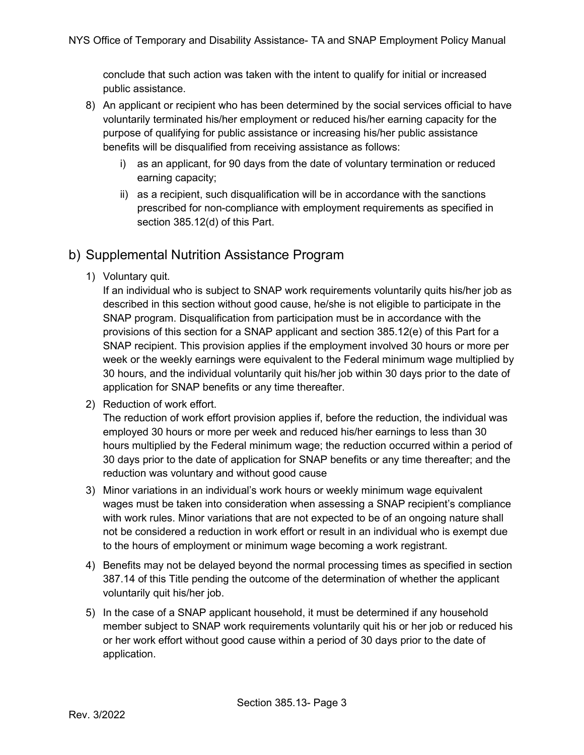conclude that such action was taken with the intent to qualify for initial or increased public assistance.

- 8) An applicant or recipient who has been determined by the social services official to have voluntarily terminated his/her employment or reduced his/her earning capacity for the purpose of qualifying for public assistance or increasing his/her public assistance benefits will be disqualified from receiving assistance as follows:
	- i) as an applicant, for 90 days from the date of voluntary termination or reduced earning capacity;
	- ii) as a recipient, such disqualification will be in accordance with the sanctions prescribed for non-compliance with employment requirements as specified in section 385.12(d) of this Part.

## <span id="page-2-0"></span>b) Supplemental Nutrition Assistance Program

1) Voluntary quit.

If an individual who is subject to SNAP work requirements voluntarily quits his/her job as described in this section without good cause, he/she is not eligible to participate in the SNAP program. Disqualification from participation must be in accordance with the provisions of this section for a SNAP applicant and section 385.12(e) of this Part for a SNAP recipient. This provision applies if the employment involved 30 hours or more per week or the weekly earnings were equivalent to the Federal minimum wage multiplied by 30 hours, and the individual voluntarily quit his/her job within 30 days prior to the date of application for SNAP benefits or any time thereafter.

2) Reduction of work effort.

The reduction of work effort provision applies if, before the reduction, the individual was employed 30 hours or more per week and reduced his/her earnings to less than 30 hours multiplied by the Federal minimum wage; the reduction occurred within a period of 30 days prior to the date of application for SNAP benefits or any time thereafter; and the reduction was voluntary and without good cause

- 3) Minor variations in an individual's work hours or weekly minimum wage equivalent wages must be taken into consideration when assessing a SNAP recipient's compliance with work rules. Minor variations that are not expected to be of an ongoing nature shall not be considered a reduction in work effort or result in an individual who is exempt due to the hours of employment or minimum wage becoming a work registrant.
- 4) Benefits may not be delayed beyond the normal processing times as specified in section 387.14 of this Title pending the outcome of the determination of whether the applicant voluntarily quit his/her job.
- 5) In the case of a SNAP applicant household, it must be determined if any household member subject to SNAP work requirements voluntarily quit his or her job or reduced his or her work effort without good cause within a period of 30 days prior to the date of application.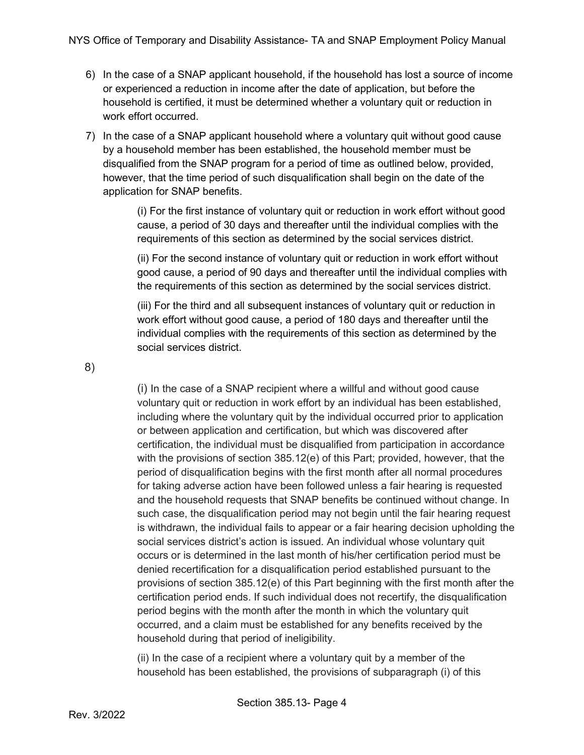- 6) In the case of a SNAP applicant household, if the household has lost a source of income or experienced a reduction in income after the date of application, but before the household is certified, it must be determined whether a voluntary quit or reduction in work effort occurred.
- 7) In the case of a SNAP applicant household where a voluntary quit without good cause by a household member has been established, the household member must be disqualified from the SNAP program for a period of time as outlined below, provided, however, that the time period of such disqualification shall begin on the date of the application for SNAP benefits.

(i) For the first instance of voluntary quit or reduction in work effort without good cause, a period of 30 days and thereafter until the individual complies with the requirements of this section as determined by the social services district.

(ii) For the second instance of voluntary quit or reduction in work effort without good cause, a period of 90 days and thereafter until the individual complies with the requirements of this section as determined by the social services district.

(iii) For the third and all subsequent instances of voluntary quit or reduction in work effort without good cause, a period of 180 days and thereafter until the individual complies with the requirements of this section as determined by the social services district.

8)

(i) In the case of a SNAP recipient where a willful and without good cause voluntary quit or reduction in work effort by an individual has been established, including where the voluntary quit by the individual occurred prior to application or between application and certification, but which was discovered after certification, the individual must be disqualified from participation in accordance with the provisions of section 385.12(e) of this Part; provided, however, that the period of disqualification begins with the first month after all normal procedures for taking adverse action have been followed unless a fair hearing is requested and the household requests that SNAP benefits be continued without change. In such case, the disqualification period may not begin until the fair hearing request is withdrawn, the individual fails to appear or a fair hearing decision upholding the social services district's action is issued. An individual whose voluntary quit occurs or is determined in the last month of his/her certification period must be denied recertification for a disqualification period established pursuant to the provisions of section 385.12(e) of this Part beginning with the first month after the certification period ends. If such individual does not recertify, the disqualification period begins with the month after the month in which the voluntary quit occurred, and a claim must be established for any benefits received by the household during that period of ineligibility.

(ii) In the case of a recipient where a voluntary quit by a member of the household has been established, the provisions of subparagraph (i) of this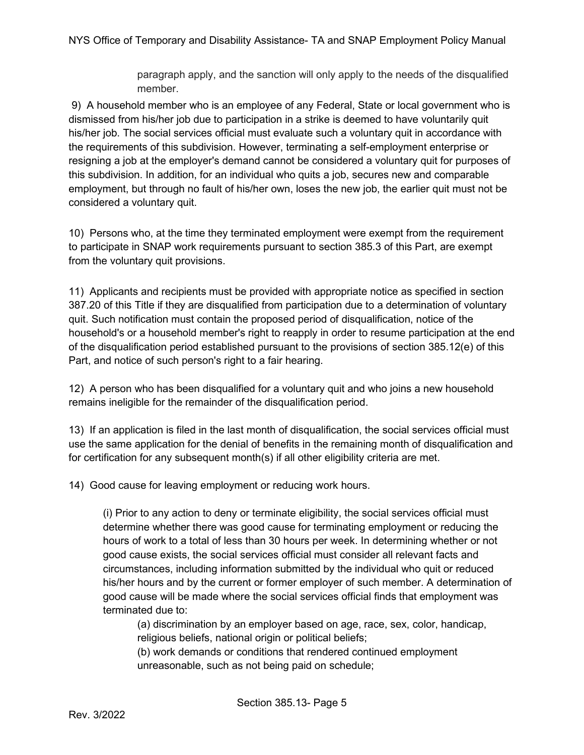paragraph apply, and the sanction will only apply to the needs of the disqualified member.

9) A household member who is an employee of any Federal, State or local government who is dismissed from his/her job due to participation in a strike is deemed to have voluntarily quit his/her job. The social services official must evaluate such a voluntary quit in accordance with the requirements of this subdivision. However, terminating a self-employment enterprise or resigning a job at the employer's demand cannot be considered a voluntary quit for purposes of this subdivision. In addition, for an individual who quits a job, secures new and comparable employment, but through no fault of his/her own, loses the new job, the earlier quit must not be considered a voluntary quit.

10) Persons who, at the time they terminated employment were exempt from the requirement to participate in SNAP work requirements pursuant to section 385.3 of this Part, are exempt from the voluntary quit provisions.

11) Applicants and recipients must be provided with appropriate notice as specified in section 387.20 of this Title if they are disqualified from participation due to a determination of voluntary quit. Such notification must contain the proposed period of disqualification, notice of the household's or a household member's right to reapply in order to resume participation at the end of the disqualification period established pursuant to the provisions of section 385.12(e) of this Part, and notice of such person's right to a fair hearing.

12) A person who has been disqualified for a voluntary quit and who joins a new household remains ineligible for the remainder of the disqualification period.

13) If an application is filed in the last month of disqualification, the social services official must use the same application for the denial of benefits in the remaining month of disqualification and for certification for any subsequent month(s) if all other eligibility criteria are met.

14) Good cause for leaving employment or reducing work hours.

(i) Prior to any action to deny or terminate eligibility, the social services official must determine whether there was good cause for terminating employment or reducing the hours of work to a total of less than 30 hours per week. In determining whether or not good cause exists, the social services official must consider all relevant facts and circumstances, including information submitted by the individual who quit or reduced his/her hours and by the current or former employer of such member. A determination of good cause will be made where the social services official finds that employment was terminated due to:

(a) discrimination by an employer based on age, race, sex, color, handicap, religious beliefs, national origin or political beliefs;

(b) work demands or conditions that rendered continued employment unreasonable, such as not being paid on schedule;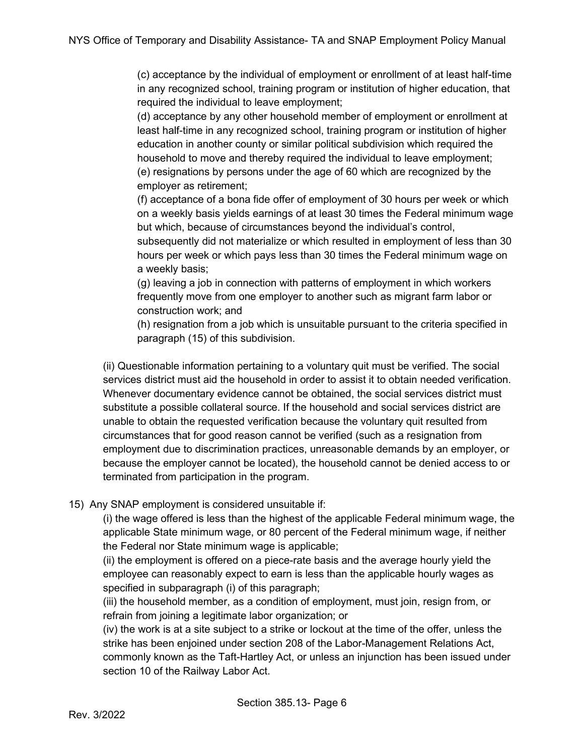(c) acceptance by the individual of employment or enrollment of at least half-time in any recognized school, training program or institution of higher education, that required the individual to leave employment;

(d) acceptance by any other household member of employment or enrollment at least half-time in any recognized school, training program or institution of higher education in another county or similar political subdivision which required the household to move and thereby required the individual to leave employment; (e) resignations by persons under the age of 60 which are recognized by the employer as retirement;

(f) acceptance of a bona fide offer of employment of 30 hours per week or which on a weekly basis yields earnings of at least 30 times the Federal minimum wage but which, because of circumstances beyond the individual's control,

subsequently did not materialize or which resulted in employment of less than 30 hours per week or which pays less than 30 times the Federal minimum wage on a weekly basis;

(g) leaving a job in connection with patterns of employment in which workers frequently move from one employer to another such as migrant farm labor or construction work; and

(h) resignation from a job which is unsuitable pursuant to the criteria specified in paragraph (15) of this subdivision.

(ii) Questionable information pertaining to a voluntary quit must be verified. The social services district must aid the household in order to assist it to obtain needed verification. Whenever documentary evidence cannot be obtained, the social services district must substitute a possible collateral source. If the household and social services district are unable to obtain the requested verification because the voluntary quit resulted from circumstances that for good reason cannot be verified (such as a resignation from employment due to discrimination practices, unreasonable demands by an employer, or because the employer cannot be located), the household cannot be denied access to or terminated from participation in the program.

#### 15) Any SNAP employment is considered unsuitable if:

(i) the wage offered is less than the highest of the applicable Federal minimum wage, the applicable State minimum wage, or 80 percent of the Federal minimum wage, if neither the Federal nor State minimum wage is applicable;

(ii) the employment is offered on a piece-rate basis and the average hourly yield the employee can reasonably expect to earn is less than the applicable hourly wages as specified in subparagraph (i) of this paragraph;

(iii) the household member, as a condition of employment, must join, resign from, or refrain from joining a legitimate labor organization; or

(iv) the work is at a site subject to a strike or lockout at the time of the offer, unless the strike has been enjoined under section 208 of the Labor-Management Relations Act, commonly known as the Taft-Hartley Act, or unless an injunction has been issued under section 10 of the Railway Labor Act.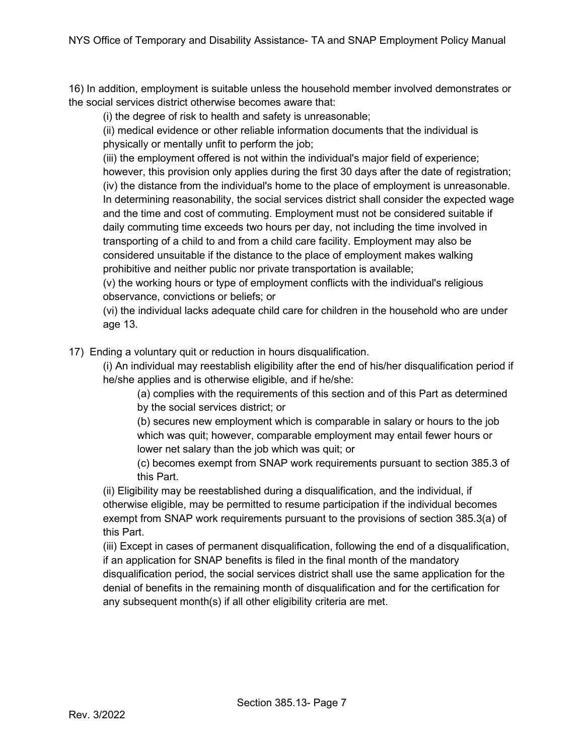16) In addition, employment is suitable unless the household member involved demonstrates or the social services district otherwise becomes aware that:

(i) the degree of risk to health and safety is unreasonable;

(ii) medical evidence or other reliable information documents that the individual is physically or mentally unfit to perform the job;

(iii) the employment offered is not within the individual's major field of experience; however, this provision only applies during the first 30 days after the date of registration; (iv) the distance from the individual's home to the place of employment is unreasonable. In determining reasonability, the social services district shall consider the expected wage and the time and cost of commuting. Employment must not be considered suitable if daily commuting time exceeds two hours per day, not including the time involved in transporting of a child to and from a child care facility. Employment may also be considered unsuitable if the distance to the place of employment makes walking prohibitive and neither public nor private transportation is available;

(v) the working hours or type of employment conflicts with the individual's religious observance, convictions or beliefs; or

(vi) the individual lacks adequate child care for children in the household who are under age 13.

17) Ending a voluntary quit or reduction in hours disqualification.

(i) An individual may reestablish eligibility after the end of his/her disqualification period if he/she applies and is otherwise eligible, and if he/she:

(a) complies with the requirements of this section and of this Part as determined

by the social services district; or

(b) secures new employment which is comparable in salary or hours to the job which was quit; however, comparable employment may entail fewer hours or lower net salary than the job which was quit; or

(c) becomes exempt from SNAP work requirements pursuant to section 385.3 of this Part.

(ii) Eligibility may be reestablished during a disqualification, and the individual, if otherwise eligible, may be permitted to resume participation if the individual becomes exempt from SNAP work requirements pursuant to the provisions of section 385.3(a) of this Part.

(iii) Except in cases of permanent disqualification, following the end of a disqualification, if an application for SNAP benefits is filed in the final month of the mandatory disqualification period, the social services district shall use the same application for the denial of benefits in the remaining month of disqualification and for the certification for any subsequent month(s) if all other eligibility criteria are met.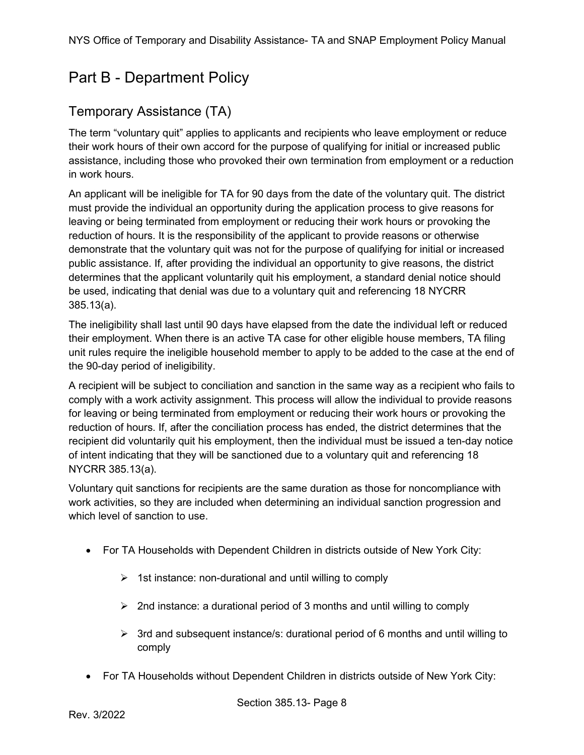## <span id="page-7-0"></span>Part B - Department Policy

## <span id="page-7-1"></span>Temporary Assistance (TA)

The term "voluntary quit" applies to applicants and recipients who leave employment or reduce their work hours of their own accord for the purpose of qualifying for initial or increased public assistance, including those who provoked their own termination from employment or a reduction in work hours.

An applicant will be ineligible for TA for 90 days from the date of the voluntary quit. The district must provide the individual an opportunity during the application process to give reasons for leaving or being terminated from employment or reducing their work hours or provoking the reduction of hours. It is the responsibility of the applicant to provide reasons or otherwise demonstrate that the voluntary quit was not for the purpose of qualifying for initial or increased public assistance. If, after providing the individual an opportunity to give reasons, the district determines that the applicant voluntarily quit his employment, a standard denial notice should be used, indicating that denial was due to a voluntary quit and referencing 18 NYCRR 385.13(a).

The ineligibility shall last until 90 days have elapsed from the date the individual left or reduced their employment. When there is an active TA case for other eligible house members, TA filing unit rules require the ineligible household member to apply to be added to the case at the end of the 90-day period of ineligibility.

A recipient will be subject to conciliation and sanction in the same way as a recipient who fails to comply with a work activity assignment. This process will allow the individual to provide reasons for leaving or being terminated from employment or reducing their work hours or provoking the reduction of hours. If, after the conciliation process has ended, the district determines that the recipient did voluntarily quit his employment, then the individual must be issued a ten-day notice of intent indicating that they will be sanctioned due to a voluntary quit and referencing 18 NYCRR 385.13(a).

Voluntary quit sanctions for recipients are the same duration as those for noncompliance with work activities, so they are included when determining an individual sanction progression and which level of sanction to use.

- For TA Households with Dependent Children in districts outside of New York City:
	- $\triangleright$  1st instance: non-durational and until willing to comply
	- $\triangleright$  2nd instance: a durational period of 3 months and until willing to comply
	- $\triangleright$  3rd and subsequent instance/s: durational period of 6 months and until willing to comply
- For TA Households without Dependent Children in districts outside of New York City: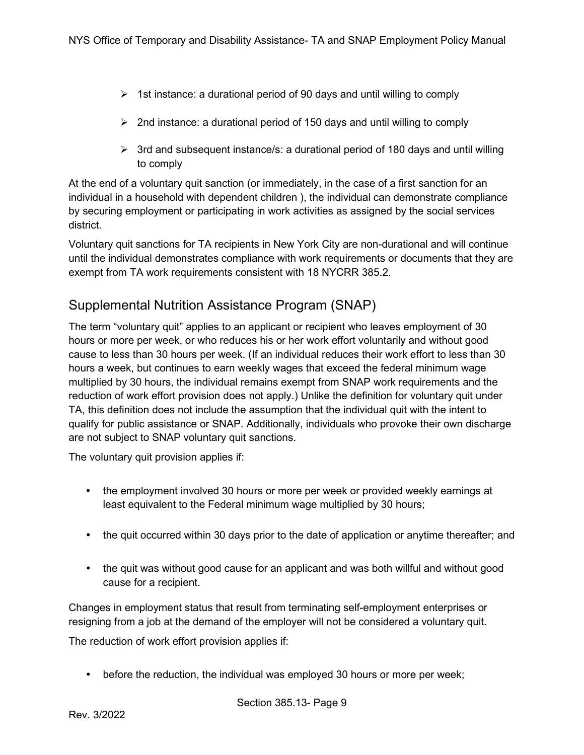- $\triangleright$  1st instance: a durational period of 90 days and until willing to comply
- $\geq$  2nd instance: a durational period of 150 days and until willing to comply
- $\triangleright$  3rd and subsequent instance/s: a durational period of 180 days and until willing to comply

At the end of a voluntary quit sanction (or immediately, in the case of a first sanction for an individual in a household with dependent children ), the individual can demonstrate compliance by securing employment or participating in work activities as assigned by the social services district.

Voluntary quit sanctions for TA recipients in New York City are non-durational and will continue until the individual demonstrates compliance with work requirements or documents that they are exempt from TA work requirements consistent with 18 NYCRR 385.2.

## <span id="page-8-0"></span>Supplemental Nutrition Assistance Program (SNAP)

The term "voluntary quit" applies to an applicant or recipient who leaves employment of 30 hours or more per week, or who reduces his or her work effort voluntarily and without good cause to less than 30 hours per week. (If an individual reduces their work effort to less than 30 hours a week, but continues to earn weekly wages that exceed the federal minimum wage multiplied by 30 hours, the individual remains exempt from SNAP work requirements and the reduction of work effort provision does not apply.) Unlike the definition for voluntary quit under TA, this definition does not include the assumption that the individual quit with the intent to qualify for public assistance or SNAP. Additionally, individuals who provoke their own discharge are not subject to SNAP voluntary quit sanctions.

The voluntary quit provision applies if:

- the employment involved 30 hours or more per week or provided weekly earnings at least equivalent to the Federal minimum wage multiplied by 30 hours;
- the quit occurred within 30 days prior to the date of application or anytime thereafter; and
- the quit was without good cause for an applicant and was both willful and without good cause for a recipient.

Changes in employment status that result from terminating self-employment enterprises or resigning from a job at the demand of the employer will not be considered a voluntary quit.

The reduction of work effort provision applies if:

before the reduction, the individual was employed 30 hours or more per week;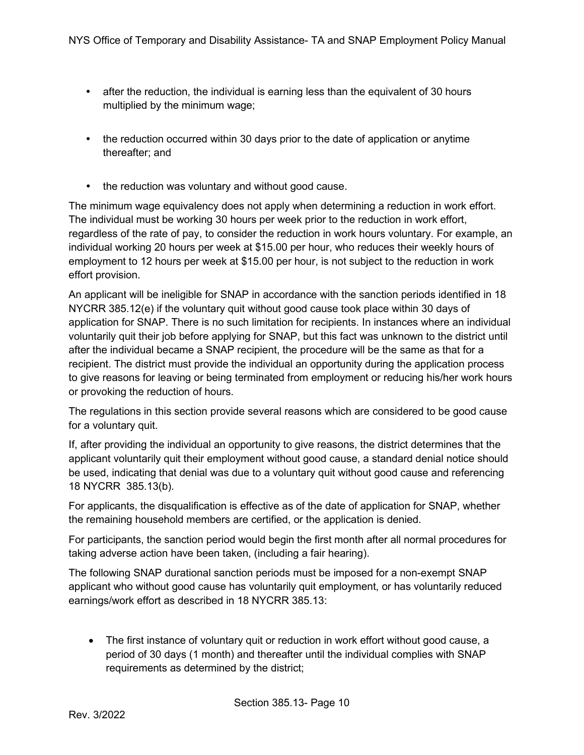- after the reduction, the individual is earning less than the equivalent of 30 hours multiplied by the minimum wage;
- the reduction occurred within 30 days prior to the date of application or anytime thereafter; and
- the reduction was voluntary and without good cause.

The minimum wage equivalency does not apply when determining a reduction in work effort. The individual must be working 30 hours per week prior to the reduction in work effort, regardless of the rate of pay, to consider the reduction in work hours voluntary. For example, an individual working 20 hours per week at \$15.00 per hour, who reduces their weekly hours of employment to 12 hours per week at \$15.00 per hour, is not subject to the reduction in work effort provision.

An applicant will be ineligible for SNAP in accordance with the sanction periods identified in 18 NYCRR 385.12(e) if the voluntary quit without good cause took place within 30 days of application for SNAP. There is no such limitation for recipients. In instances where an individual voluntarily quit their job before applying for SNAP, but this fact was unknown to the district until after the individual became a SNAP recipient, the procedure will be the same as that for a recipient. The district must provide the individual an opportunity during the application process to give reasons for leaving or being terminated from employment or reducing his/her work hours or provoking the reduction of hours.

The regulations in this section provide several reasons which are considered to be good cause for a voluntary quit.

If, after providing the individual an opportunity to give reasons, the district determines that the applicant voluntarily quit their employment without good cause, a standard denial notice should be used, indicating that denial was due to a voluntary quit without good cause and referencing 18 NYCRR 385.13(b).

For applicants, the disqualification is effective as of the date of application for SNAP, whether the remaining household members are certified, or the application is denied.

For participants, the sanction period would begin the first month after all normal procedures for taking adverse action have been taken, (including a fair hearing).

The following SNAP durational sanction periods must be imposed for a non-exempt SNAP applicant who without good cause has voluntarily quit employment, or has voluntarily reduced earnings/work effort as described in 18 NYCRR 385.13:

• The first instance of voluntary quit or reduction in work effort without good cause, a period of 30 days (1 month) and thereafter until the individual complies with SNAP requirements as determined by the district;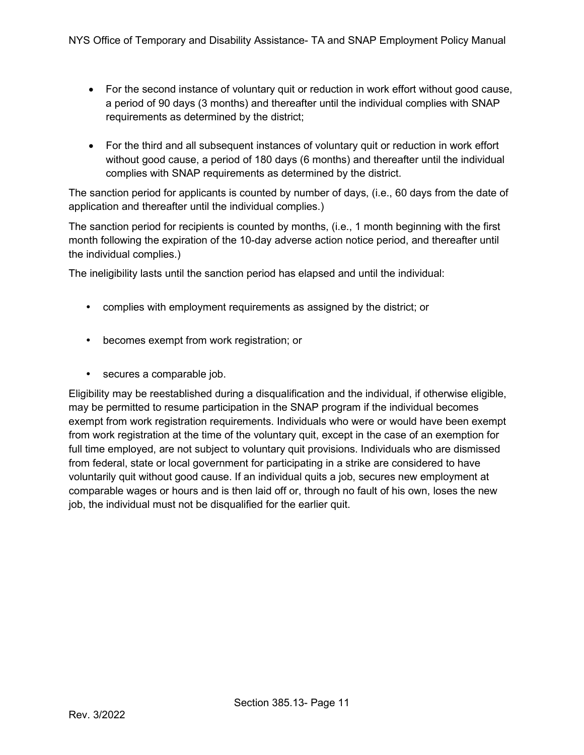- For the second instance of voluntary quit or reduction in work effort without good cause, a period of 90 days (3 months) and thereafter until the individual complies with SNAP requirements as determined by the district;
- For the third and all subsequent instances of voluntary quit or reduction in work effort without good cause, a period of 180 days (6 months) and thereafter until the individual complies with SNAP requirements as determined by the district.

The sanction period for applicants is counted by number of days, (i.e., 60 days from the date of application and thereafter until the individual complies.)

The sanction period for recipients is counted by months, (i.e., 1 month beginning with the first month following the expiration of the 10-day adverse action notice period, and thereafter until the individual complies.)

The ineligibility lasts until the sanction period has elapsed and until the individual:

- complies with employment requirements as assigned by the district; or
- becomes exempt from work registration; or
- secures a comparable job.

Eligibility may be reestablished during a disqualification and the individual, if otherwise eligible, may be permitted to resume participation in the SNAP program if the individual becomes exempt from work registration requirements. Individuals who were or would have been exempt from work registration at the time of the voluntary quit, except in the case of an exemption for full time employed, are not subject to voluntary quit provisions. Individuals who are dismissed from federal, state or local government for participating in a strike are considered to have voluntarily quit without good cause. If an individual quits a job, secures new employment at comparable wages or hours and is then laid off or, through no fault of his own, loses the new job, the individual must not be disqualified for the earlier quit.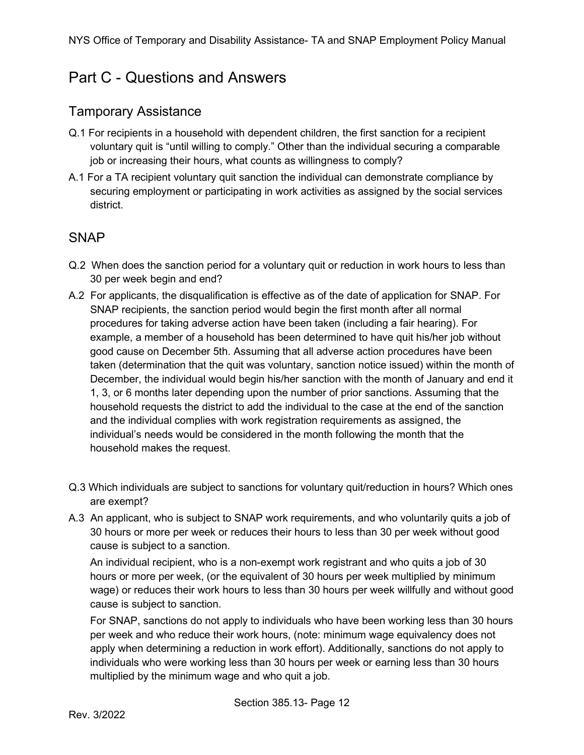## <span id="page-11-0"></span>Part C - Questions and Answers

### <span id="page-11-1"></span>Tamporary Assistance

- Q.1 For recipients in a household with dependent children, the first sanction for a recipient voluntary quit is "until willing to comply." Other than the individual securing a comparable job or increasing their hours, what counts as willingness to comply?
- A.1 For a TA recipient voluntary quit sanction the individual can demonstrate compliance by securing employment or participating in work activities as assigned by the social services district.

## <span id="page-11-2"></span>**SNAP**

- Q.2 When does the sanction period for a voluntary quit or reduction in work hours to less than 30 per week begin and end?
- A.2 For applicants, the disqualification is effective as of the date of application for SNAP. For SNAP recipients, the sanction period would begin the first month after all normal procedures for taking adverse action have been taken (including a fair hearing). For example, a member of a household has been determined to have quit his/her job without good cause on December 5th. Assuming that all adverse action procedures have been taken (determination that the quit was voluntary, sanction notice issued) within the month of December, the individual would begin his/her sanction with the month of January and end it 1, 3, or 6 months later depending upon the number of prior sanctions. Assuming that the household requests the district to add the individual to the case at the end of the sanction and the individual complies with work registration requirements as assigned, the individual's needs would be considered in the month following the month that the household makes the request.
- Q.3 Which individuals are subject to sanctions for voluntary quit/reduction in hours? Which ones are exempt?
- A.3 An applicant, who is subject to SNAP work requirements, and who voluntarily quits a job of 30 hours or more per week or reduces their hours to less than 30 per week without good cause is subject to a sanction.

An individual recipient, who is a non-exempt work registrant and who quits a job of 30 hours or more per week, (or the equivalent of 30 hours per week multiplied by minimum wage) or reduces their work hours to less than 30 hours per week willfully and without good cause is subject to sanction.

For SNAP, sanctions do not apply to individuals who have been working less than 30 hours per week and who reduce their work hours, (note: minimum wage equivalency does not apply when determining a reduction in work effort). Additionally, sanctions do not apply to individuals who were working less than 30 hours per week or earning less than 30 hours multiplied by the minimum wage and who quit a job.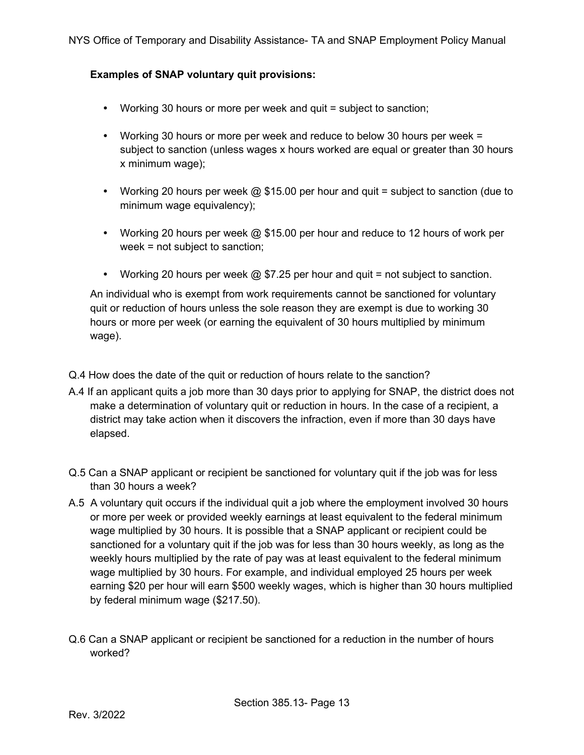#### **Examples of SNAP voluntary quit provisions:**

- Working 30 hours or more per week and quit = subject to sanction;
- Working 30 hours or more per week and reduce to below 30 hours per week = subject to sanction (unless wages x hours worked are equal or greater than 30 hours x minimum wage);
- Working 20 hours per week  $@$  \$15.00 per hour and quit = subject to sanction (due to minimum wage equivalency);
- Working 20 hours per week  $@$  \$15.00 per hour and reduce to 12 hours of work per week = not subject to sanction;
- Working 20 hours per week  $\omega$  \$7.25 per hour and quit = not subject to sanction.

An individual who is exempt from work requirements cannot be sanctioned for voluntary quit or reduction of hours unless the sole reason they are exempt is due to working 30 hours or more per week (or earning the equivalent of 30 hours multiplied by minimum wage).

- Q.4 How does the date of the quit or reduction of hours relate to the sanction?
- A.4 If an applicant quits a job more than 30 days prior to applying for SNAP, the district does not make a determination of voluntary quit or reduction in hours. In the case of a recipient, a district may take action when it discovers the infraction, even if more than 30 days have elapsed.
- Q.5 Can a SNAP applicant or recipient be sanctioned for voluntary quit if the job was for less than 30 hours a week?
- A.5 A voluntary quit occurs if the individual quit a job where the employment involved 30 hours or more per week or provided weekly earnings at least equivalent to the federal minimum wage multiplied by 30 hours. It is possible that a SNAP applicant or recipient could be sanctioned for a voluntary quit if the job was for less than 30 hours weekly, as long as the weekly hours multiplied by the rate of pay was at least equivalent to the federal minimum wage multiplied by 30 hours. For example, and individual employed 25 hours per week earning \$20 per hour will earn \$500 weekly wages, which is higher than 30 hours multiplied by federal minimum wage (\$217.50).
- Q.6 Can a SNAP applicant or recipient be sanctioned for a reduction in the number of hours worked?